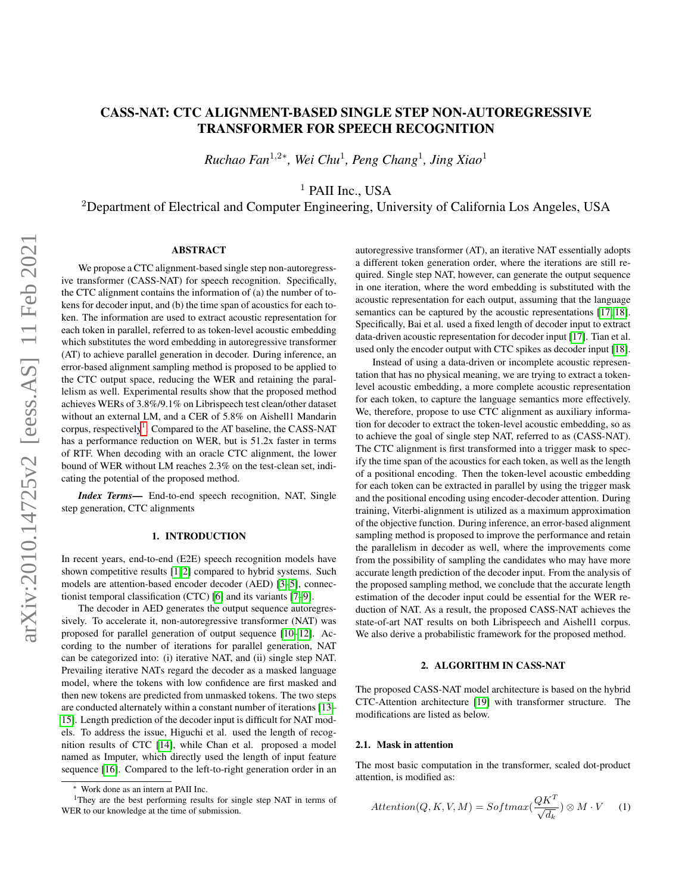# CASS-NAT: CTC ALIGNMENT-BASED SINGLE STEP NON-AUTOREGRESSIVE TRANSFORMER FOR SPEECH RECOGNITION

*Ruchao Fan*<sup>1</sup>,2<sup>∗</sup> *, Wei Chu*<sup>1</sup> *, Peng Chang*<sup>1</sup> *, Jing Xiao*<sup>1</sup>

<sup>1</sup> PAII Inc., USA

<sup>2</sup>Department of Electrical and Computer Engineering, University of California Los Angeles, USA

## ABSTRACT

We propose a CTC alignment-based single step non-autoregressive transformer (CASS-NAT) for speech recognition. Specifically, the CTC alignment contains the information of (a) the number of tokens for decoder input, and (b) the time span of acoustics for each token. The information are used to extract acoustic representation for each token in parallel, referred to as token-level acoustic embedding which substitutes the word embedding in autoregressive transformer (AT) to achieve parallel generation in decoder. During inference, an error-based alignment sampling method is proposed to be applied to the CTC output space, reducing the WER and retaining the parallelism as well. Experimental results show that the proposed method achieves WERs of 3.8%/9.1% on Librispeech test clean/other dataset without an external LM, and a CER of 5.8% on Aishell1 Mandarin corpus, respectively<sup>[1](#page-0-0)</sup>. Compared to the AT baseline, the CASS-NAT has a performance reduction on WER, but is 51.2x faster in terms of RTF. When decoding with an oracle CTC alignment, the lower bound of WER without LM reaches 2.3% on the test-clean set, indicating the potential of the proposed method.

*Index Terms*— End-to-end speech recognition, NAT, Single step generation, CTC alignments

#### 1. INTRODUCTION

In recent years, end-to-end (E2E) speech recognition models have shown competitive results [\[1,](#page-4-0) [2\]](#page-4-1) compared to hybrid systems. Such models are attention-based encoder decoder (AED) [\[3](#page-4-2)[–5\]](#page-4-3), connectionist temporal classification (CTC) [\[6\]](#page-4-4) and its variants [\[7](#page-4-5)[–9\]](#page-4-6).

The decoder in AED generates the output sequence autoregressively. To accelerate it, non-autoregressive transformer (NAT) was proposed for parallel generation of output sequence [\[10](#page-4-7)[–12\]](#page-4-8). According to the number of iterations for parallel generation, NAT can be categorized into: (i) iterative NAT, and (ii) single step NAT. Prevailing iterative NATs regard the decoder as a masked language model, where the tokens with low confidence are first masked and then new tokens are predicted from unmasked tokens. The two steps are conducted alternately within a constant number of iterations [\[13–](#page-4-9) [15\]](#page-4-10). Length prediction of the decoder input is difficult for NAT models. To address the issue, Higuchi et al. used the length of recognition results of CTC [\[14\]](#page-4-11), while Chan et al. proposed a model named as Imputer, which directly used the length of input feature sequence [\[16\]](#page-4-12). Compared to the left-to-right generation order in an

autoregressive transformer (AT), an iterative NAT essentially adopts a different token generation order, where the iterations are still required. Single step NAT, however, can generate the output sequence in one iteration, where the word embedding is substituted with the acoustic representation for each output, assuming that the language semantics can be captured by the acoustic representations [\[17,](#page-4-13) [18\]](#page-4-14). Specifically, Bai et al. used a fixed length of decoder input to extract data-driven acoustic representation for decoder input [\[17\]](#page-4-13). Tian et al. used only the encoder output with CTC spikes as decoder input [\[18\]](#page-4-14).

Instead of using a data-driven or incomplete acoustic representation that has no physical meaning, we are trying to extract a tokenlevel acoustic embedding, a more complete acoustic representation for each token, to capture the language semantics more effectively. We, therefore, propose to use CTC alignment as auxiliary information for decoder to extract the token-level acoustic embedding, so as to achieve the goal of single step NAT, referred to as (CASS-NAT). The CTC alignment is first transformed into a trigger mask to specify the time span of the acoustics for each token, as well as the length of a positional encoding. Then the token-level acoustic embedding for each token can be extracted in parallel by using the trigger mask and the positional encoding using encoder-decoder attention. During training, Viterbi-alignment is utilized as a maximum approximation of the objective function. During inference, an error-based alignment sampling method is proposed to improve the performance and retain the parallelism in decoder as well, where the improvements come from the possibility of sampling the candidates who may have more accurate length prediction of the decoder input. From the analysis of the proposed sampling method, we conclude that the accurate length estimation of the decoder input could be essential for the WER reduction of NAT. As a result, the proposed CASS-NAT achieves the state-of-art NAT results on both Librispeech and Aishell1 corpus. We also derive a probabilistic framework for the proposed method.

## 2. ALGORITHM IN CASS-NAT

The proposed CASS-NAT model architecture is based on the hybrid CTC-Attention architecture [\[19\]](#page-4-15) with transformer structure. The modifications are listed as below.

## 2.1. Mask in attention

The most basic computation in the transformer, scaled dot-product attention, is modified as:

$$
Attention(Q, K, V, M) = Softmax(\frac{QK^{T}}{\sqrt{d_k}}) \otimes M \cdot V \qquad (1)
$$

<span id="page-0-0"></span>Work done as an intern at PAII Inc.

<sup>&</sup>lt;sup>1</sup>They are the best performing results for single step NAT in terms of WER to our knowledge at the time of submission.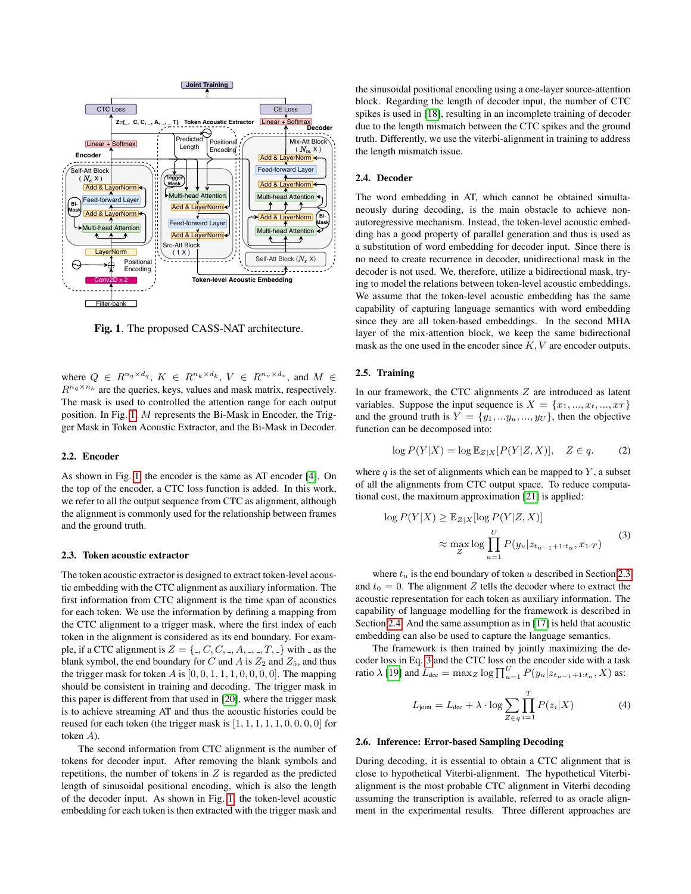

<span id="page-1-0"></span>Fig. 1. The proposed CASS-NAT architecture.

where  $Q \in R^{n_q \times d_q}$ ,  $K \in R^{n_k \times d_k}$ ,  $V \in R^{n_v \times d_v}$ , and  $M \in$  $R^{n_q \times n_k}$  are the queries, keys, values and mask matrix, respectively. The mask is used to controlled the attention range for each output position. In Fig. [1,](#page-1-0) M represents the Bi-Mask in Encoder, the Trigger Mask in Token Acoustic Extractor, and the Bi-Mask in Decoder.

## 2.2. Encoder

As shown in Fig. [1,](#page-1-0) the encoder is the same as AT encoder [\[4\]](#page-4-16). On the top of the encoder, a CTC loss function is added. In this work, we refer to all the output sequence from CTC as alignment, although the alignment is commonly used for the relationship between frames and the ground truth.

#### <span id="page-1-1"></span>2.3. Token acoustic extractor

The token acoustic extractor is designed to extract token-level acoustic embedding with the CTC alignment as auxiliary information. The first information from CTC alignment is the time span of acoustics for each token. We use the information by defining a mapping from the CTC alignment to a trigger mask, where the first index of each token in the alignment is considered as its end boundary. For example, if a CTC alignment is  $Z = \{., C, C, -, A, -, -, T, \}$  with  $\Box$  as the blank symbol, the end boundary for C and A is  $Z_2$  and  $Z_5$ , and thus the trigger mask for token  $A$  is  $[0, 0, 1, 1, 1, 0, 0, 0, 0]$ . The mapping should be consistent in training and decoding. The trigger mask in this paper is different from that used in [\[20\]](#page-4-17), where the trigger mask is to achieve streaming AT and thus the acoustic histories could be reused for each token (the trigger mask is [1, 1, 1, 1, 1, 0, 0, 0, 0] for token A).

The second information from CTC alignment is the number of tokens for decoder input. After removing the blank symbols and repetitions, the number of tokens in  $Z$  is regarded as the predicted length of sinusoidal positional encoding, which is also the length of the decoder input. As shown in Fig. [1,](#page-1-0) the token-level acoustic embedding for each token is then extracted with the trigger mask and

the sinusoidal positional encoding using a one-layer source-attention block. Regarding the length of decoder input, the number of CTC spikes is used in [\[18\]](#page-4-14), resulting in an incomplete training of decoder due to the length mismatch between the CTC spikes and the ground truth. Differently, we use the viterbi-alignment in training to address the length mismatch issue.

## <span id="page-1-2"></span>2.4. Decoder

The word embedding in AT, which cannot be obtained simultaneously during decoding, is the main obstacle to achieve nonautoregressive mechanism. Instead, the token-level acoustic embedding has a good property of parallel generation and thus is used as a substitution of word embedding for decoder input. Since there is no need to create recurrence in decoder, unidirectional mask in the decoder is not used. We, therefore, utilize a bidirectional mask, trying to model the relations between token-level acoustic embeddings. We assume that the token-level acoustic embedding has the same capability of capturing language semantics with word embedding since they are all token-based embeddings. In the second MHA layer of the mix-attention block, we keep the same bidirectional mask as the one used in the encoder since K, V are encoder outputs.

## <span id="page-1-4"></span>2.5. Training

In our framework, the CTC alignments  $Z$  are introduced as latent variables. Suppose the input sequence is  $X = \{x_1, ..., x_t, ..., x_T\}$ and the ground truth is  $Y = \{y_1, \ldots, y_u, \ldots, y_U\}$ , then the objective function can be decomposed into:

$$
\log P(Y|X) = \log \mathbb{E}_{Z|X}[P(Y|Z,X)], \quad Z \in q.
$$
 (2)

where  $q$  is the set of alignments which can be mapped to  $Y$ , a subset of all the alignments from CTC output space. To reduce computational cost, the maximum approximation [\[21\]](#page-4-18) is applied:

<span id="page-1-3"></span>
$$
\log P(Y|X) \geq \mathbb{E}_{Z|X}[\log P(Y|Z, X)]
$$
  

$$
\approx \max_{Z} \log \prod_{u=1}^{U} P(y_u|z_{t_{u-1}+1:t_u}, x_{1:T})
$$
 (3)

where  $t<sub>u</sub>$  is the end boundary of token u described in Section [2.3](#page-1-1) and  $t_0 = 0$ . The alignment Z tells the decoder where to extract the acoustic representation for each token as auxiliary information. The capability of language modelling for the framework is described in Section [2.4.](#page-1-2) And the same assumption as in [\[17\]](#page-4-13) is held that acoustic embedding can also be used to capture the language semantics.

The framework is then trained by jointly maximizing the decoder loss in Eq. [3](#page-1-3) and the CTC loss on the encoder side with a task ratio  $\lambda$  [\[19\]](#page-4-15) and  $L_{\text{dec}} = \max_{Z} \log \prod_{u=1}^{U} P(y_u | z_{t_{u-1}+1:t_u}, X)$  as:

$$
L_{\text{joint}} = L_{\text{dec}} + \lambda \cdot \log \sum_{Z \in q} \prod_{i=1}^{T} P(z_i | X)
$$
 (4)

#### 2.6. Inference: Error-based Sampling Decoding

During decoding, it is essential to obtain a CTC alignment that is close to hypothetical Viterbi-alignment. The hypothetical Viterbialignment is the most probable CTC alignment in Viterbi decoding assuming the transcription is available, referred to as oracle alignment in the experimental results. Three different approaches are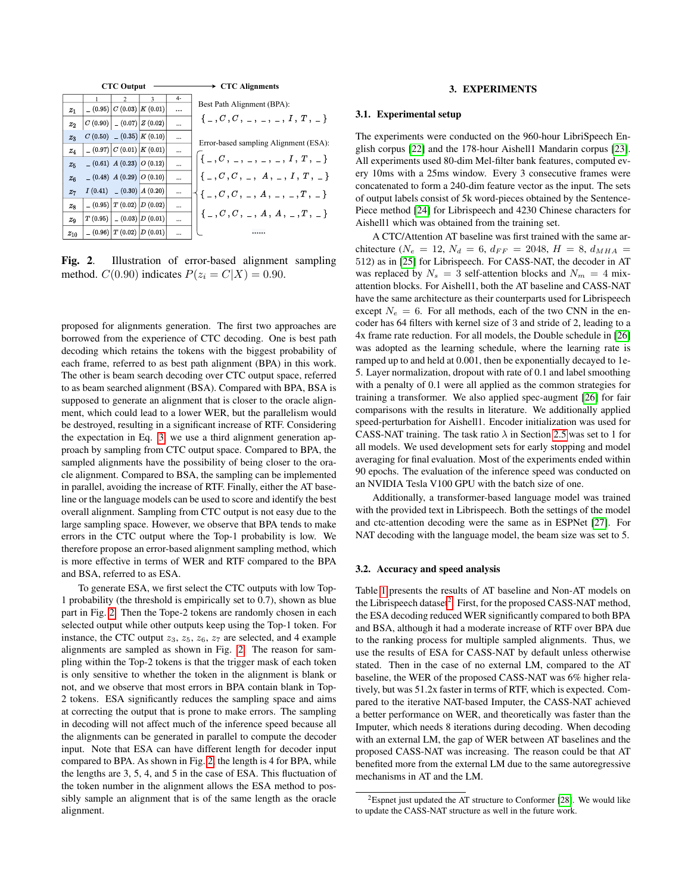

<span id="page-2-0"></span>Fig. 2. Illustration of error-based alignment sampling method.  $C(0.90)$  indicates  $P(z_i = C|X) = 0.90$ .

proposed for alignments generation. The first two approaches are borrowed from the experience of CTC decoding. One is best path decoding which retains the tokens with the biggest probability of each frame, referred to as best path alignment (BPA) in this work. The other is beam search decoding over CTC output space, referred to as beam searched alignment (BSA). Compared with BPA, BSA is supposed to generate an alignment that is closer to the oracle alignment, which could lead to a lower WER, but the parallelism would be destroyed, resulting in a significant increase of RTF. Considering the expectation in Eq. [3,](#page-1-3) we use a third alignment generation approach by sampling from CTC output space. Compared to BPA, the sampled alignments have the possibility of being closer to the oracle alignment. Compared to BSA, the sampling can be implemented in parallel, avoiding the increase of RTF. Finally, either the AT baseline or the language models can be used to score and identify the best overall alignment. Sampling from CTC output is not easy due to the large sampling space. However, we observe that BPA tends to make errors in the CTC output where the Top-1 probability is low. We therefore propose an error-based alignment sampling method, which is more effective in terms of WER and RTF compared to the BPA and BSA, referred to as ESA.

To generate ESA, we first select the CTC outputs with low Top-1 probability (the threshold is empirically set to 0.7), shown as blue part in Fig. [2.](#page-2-0) Then the Tope-2 tokens are randomly chosen in each selected output while other outputs keep using the Top-1 token. For instance, the CTC output  $z_3$ ,  $z_5$ ,  $z_6$ ,  $z_7$  are selected, and 4 example alignments are sampled as shown in Fig. [2.](#page-2-0) The reason for sampling within the Top-2 tokens is that the trigger mask of each token is only sensitive to whether the token in the alignment is blank or not, and we observe that most errors in BPA contain blank in Top-2 tokens. ESA significantly reduces the sampling space and aims at correcting the output that is prone to make errors. The sampling in decoding will not affect much of the inference speed because all the alignments can be generated in parallel to compute the decoder input. Note that ESA can have different length for decoder input compared to BPA. As shown in Fig. [2,](#page-2-0) the length is 4 for BPA, while the lengths are 3, 5, 4, and 5 in the case of ESA. This fluctuation of the token number in the alignment allows the ESA method to possibly sample an alignment that is of the same length as the oracle alignment.

#### 3. EXPERIMENTS

#### 3.1. Experimental setup

The experiments were conducted on the 960-hour LibriSpeech English corpus [\[22\]](#page-4-19) and the 178-hour Aishell1 Mandarin corpus [\[23\]](#page-4-20). All experiments used 80-dim Mel-filter bank features, computed every 10ms with a 25ms window. Every 3 consecutive frames were concatenated to form a 240-dim feature vector as the input. The sets of output labels consist of 5k word-pieces obtained by the Sentence-Piece method [\[24\]](#page-4-21) for Librispeech and 4230 Chinese characters for Aishell1 which was obtained from the training set.

A CTC/Attention AT baseline was first trained with the same architecture ( $N_e = 12$ ,  $N_d = 6$ ,  $d_{FF} = 2048$ ,  $H = 8$ ,  $d_{MHA} =$ 512) as in [\[25\]](#page-4-22) for Librispeech. For CASS-NAT, the decoder in AT was replaced by  $N_s = 3$  self-attention blocks and  $N_m = 4$  mixattention blocks. For Aishell1, both the AT baseline and CASS-NAT have the same architecture as their counterparts used for Librispeech except  $N_e = 6$ . For all methods, each of the two CNN in the encoder has 64 filters with kernel size of 3 and stride of 2, leading to a 4x frame rate reduction. For all models, the Double schedule in [\[26\]](#page-4-23) was adopted as the learning schedule, where the learning rate is ramped up to and held at 0.001, then be exponentially decayed to 1e-5. Layer normalization, dropout with rate of 0.1 and label smoothing with a penalty of 0.1 were all applied as the common strategies for training a transformer. We also applied spec-augment [\[26\]](#page-4-23) for fair comparisons with the results in literature. We additionally applied speed-perturbation for Aishell1. Encoder initialization was used for CASS-NAT training. The task ratio  $\lambda$  in Section [2.5](#page-1-4) was set to 1 for all models. We used development sets for early stopping and model averaging for final evaluation. Most of the experiments ended within 90 epochs. The evaluation of the inference speed was conducted on an NVIDIA Tesla V100 GPU with the batch size of one.

Additionally, a transformer-based language model was trained with the provided text in Librispeech. Both the settings of the model and ctc-attention decoding were the same as in ESPNet [\[27\]](#page-4-24). For NAT decoding with the language model, the beam size was set to 5.

## 3.2. Accuracy and speed analysis

Table [1](#page-3-0) presents the results of AT baseline and Non-AT models on the Librispeech dataset<sup>[2](#page-2-1)</sup>. First, for the proposed CASS-NAT method, the ESA decoding reduced WER significantly compared to both BPA and BSA, although it had a moderate increase of RTF over BPA due to the ranking process for multiple sampled alignments. Thus, we use the results of ESA for CASS-NAT by default unless otherwise stated. Then in the case of no external LM, compared to the AT baseline, the WER of the proposed CASS-NAT was 6% higher relatively, but was 51.2x faster in terms of RTF, which is expected. Compared to the iterative NAT-based Imputer, the CASS-NAT achieved a better performance on WER, and theoretically was faster than the Imputer, which needs 8 iterations during decoding. When decoding with an external LM, the gap of WER between AT baselines and the proposed CASS-NAT was increasing. The reason could be that AT benefited more from the external LM due to the same autoregressive mechanisms in AT and the LM.

<span id="page-2-1"></span><sup>2</sup>Espnet just updated the AT structure to Conformer [\[28\]](#page-4-25). We would like to update the CASS-NAT structure as well in the future work.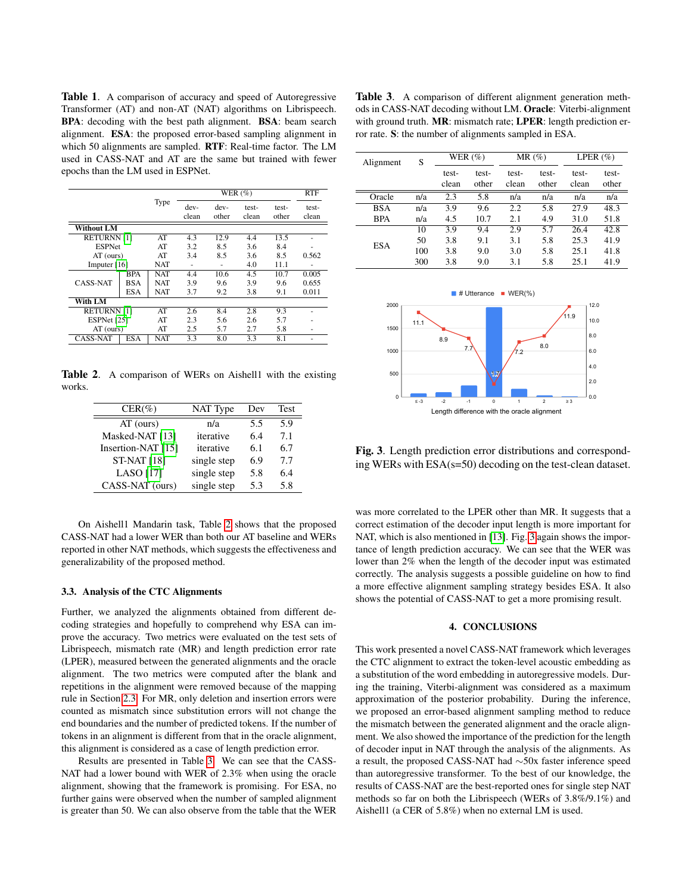<span id="page-3-0"></span>Table 1. A comparison of accuracy and speed of Autoregressive Transformer (AT) and non-AT (NAT) algorithms on Librispeech. BPA: decoding with the best path alignment. BSA: beam search alignment. ESA: the proposed error-based sampling alignment in which 50 alignments are sampled. RTF: Real-time factor. The LM used in CASS-NAT and AT are the same but trained with fewer epochs than the LM used in ESPNet.

|                   |            |            | WER $(\%)$    |                 |                |                | <b>RTF</b>     |
|-------------------|------------|------------|---------------|-----------------|----------------|----------------|----------------|
|                   | Type       |            | dev-<br>clean | $dev-$<br>other | test-<br>clean | test-<br>other | test-<br>clean |
| Without LM        |            |            |               |                 |                |                |                |
| <b>RETURNNI11</b> |            | AT         | 4.3           | 12.9            | 4.4            | 13.5           |                |
| <b>ESPNet</b>     |            | AT         | 3.2           | 8.5             | 3.6            | 8.4            |                |
| $AT$ (ours)       |            | AT         | 3.4           | 8.5             | 3.6            | 8.5            | 0.562          |
| Imputer $[16]$    |            | <b>NAT</b> |               | ٠               | 4.0            | 11.1           |                |
| <b>CASS-NAT</b>   | <b>BPA</b> | <b>NAT</b> | 4.4           | 10.6            | 4.5            | 10.7           | 0.005          |
|                   | <b>BSA</b> | <b>NAT</b> | 3.9           | 9.6             | 3.9            | 9.6            | 0.655          |
|                   | <b>ESA</b> | <b>NAT</b> | 3.7           | 9.2             | 3.8            | 9.1            | 0.011          |
| With LM           |            |            |               |                 |                |                |                |
| <b>RETURNNI11</b> |            | AT         | 2.6           | 8.4             | 2.8            | 9.3            |                |
| ESPNet [25]       |            | AT         | 2.3           | 5.6             | 2.6            | 5.7            |                |
| $AT$ (ours)       |            | AT         | 2.5           | 5.7             | 2.7            | 5.8            |                |
| <b>CASS-NAT</b>   | <b>ESA</b> | <b>NAT</b> | 3.3           | 8.0             | 3.3            | 8.1            |                |

Table 2. A comparison of WERs on Aishell1 with the existing works.

<span id="page-3-1"></span>

| $CER(\%)$          | NAT Type    | Dev | Test |
|--------------------|-------------|-----|------|
| $AT$ (ours)        | n/a         | 5.5 | 5.9  |
| Masked-NAT [13]    | iterative   | 6.4 | 7.1  |
| Insertion-NAT [15] | iterative   | 6.1 | 6.7  |
| <b>ST-NAT [18]</b> | single step | 6.9 | 7.7  |
| <b>LASO</b> [17]   | single step | 5.8 | 6.4  |
| CASS-NAT (ours)    | single step | 5.3 | 5.8  |

On Aishell1 Mandarin task, Table [2](#page-3-1) shows that the proposed CASS-NAT had a lower WER than both our AT baseline and WERs reported in other NAT methods, which suggests the effectiveness and generalizability of the proposed method.

#### 3.3. Analysis of the CTC Alignments

Further, we analyzed the alignments obtained from different decoding strategies and hopefully to comprehend why ESA can improve the accuracy. Two metrics were evaluated on the test sets of Librispeech, mismatch rate (MR) and length prediction error rate (LPER), measured between the generated alignments and the oracle alignment. The two metrics were computed after the blank and repetitions in the alignment were removed because of the mapping rule in Section [2.3.](#page-1-1) For MR, only deletion and insertion errors were counted as mismatch since substitution errors will not change the end boundaries and the number of predicted tokens. If the number of tokens in an alignment is different from that in the oracle alignment, this alignment is considered as a case of length prediction error.

Results are presented in Table [3.](#page-3-2) We can see that the CASS-NAT had a lower bound with WER of 2.3% when using the oracle alignment, showing that the framework is promising. For ESA, no further gains were observed when the number of sampled alignment is greater than 50. We can also observe from the table that the WER

<span id="page-3-2"></span>Table 3. A comparison of different alignment generation methods in CASS-NAT decoding without LM. Oracle: Viterbi-alignment with ground truth. MR: mismatch rate; LPER: length prediction error rate. S: the number of alignments sampled in ESA.

| Alignment  | S   | WER $(\% )$ |       | $MR(\%)$ |       | LPER $(\% )$ |       |
|------------|-----|-------------|-------|----------|-------|--------------|-------|
|            |     | test-       | test- | test-    | test- | test-        | test- |
|            |     | clean       | other | clean    | other | clean        | other |
| Oracle     | n/a | 2.3         | 5.8   | n/a      | n/a   | n/a          | n/a   |
| <b>BSA</b> | n/a | 3.9         | 9.6   | 2.2      | 5.8   | 27.9         | 48.3  |
| <b>BPA</b> | n/a | 4.5         | 10.7  | 2.1      | 4.9   | 31.0         | 51.8  |
| <b>ESA</b> | 10  | 3.9         | 9.4   | 2.9      | 5.7   | 26.4         | 42.8  |
|            | 50  | 3.8         | 9.1   | 3.1      | 5.8   | 25.3         | 41.9  |
|            | 100 | 3.8         | 9.0   | 3.0      | 5.8   | 25.1         | 41.8  |
|            | 300 | 3.8         | 9.0   | 3.1      | 5.8   | 25.1         | 41.9  |



<span id="page-3-3"></span>Fig. 3. Length prediction error distributions and corresponding WERs with ESA(s=50) decoding on the test-clean dataset.

was more correlated to the LPER other than MR. It suggests that a correct estimation of the decoder input length is more important for NAT, which is also mentioned in [\[13\]](#page-4-9). Fig. [3](#page-3-3) again shows the importance of length prediction accuracy. We can see that the WER was lower than 2% when the length of the decoder input was estimated correctly. The analysis suggests a possible guideline on how to find a more effective alignment sampling strategy besides ESA. It also shows the potential of CASS-NAT to get a more promising result.

## 4. CONCLUSIONS

This work presented a novel CASS-NAT framework which leverages the CTC alignment to extract the token-level acoustic embedding as a substitution of the word embedding in autoregressive models. During the training, Viterbi-alignment was considered as a maximum approximation of the posterior probability. During the inference, we proposed an error-based alignment sampling method to reduce the mismatch between the generated alignment and the oracle alignment. We also showed the importance of the prediction for the length of decoder input in NAT through the analysis of the alignments. As a result, the proposed CASS-NAT had ∼50x faster inference speed than autoregressive transformer. To the best of our knowledge, the results of CASS-NAT are the best-reported ones for single step NAT methods so far on both the Librispeech (WERs of 3.8%/9.1%) and Aishell1 (a CER of 5.8%) when no external LM is used.